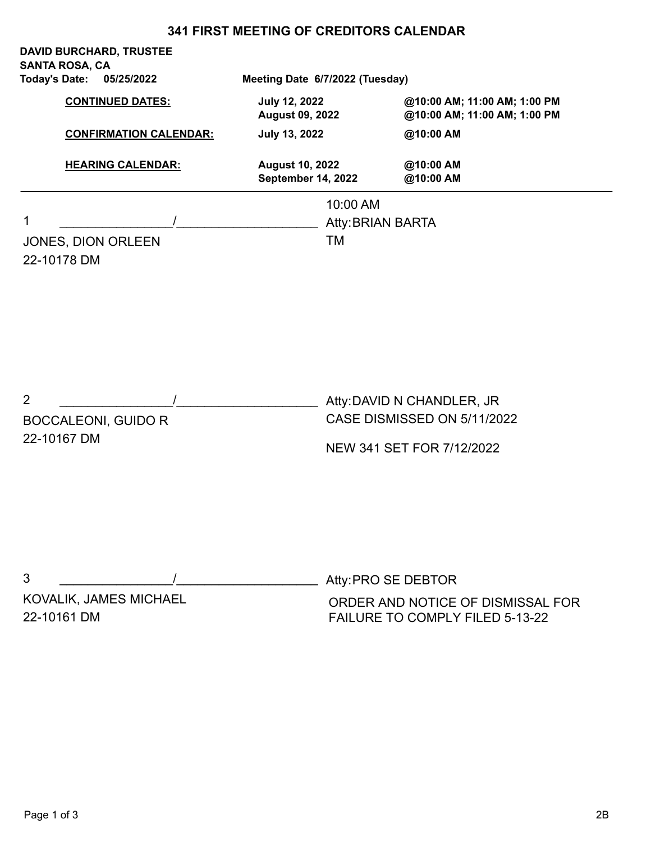## **341 FIRST MEETING OF CREDITORS CALENDAR**

|                                                             | 341 FIRST MEETING OF GREDITORS GALENDAR        |                                                                                        |
|-------------------------------------------------------------|------------------------------------------------|----------------------------------------------------------------------------------------|
| <b>DAVID BURCHARD, TRUSTEE</b><br><b>SANTA ROSA, CA</b>     |                                                |                                                                                        |
| <b>Today's Date:</b><br>05/25/2022                          | Meeting Date 6/7/2022 (Tuesday)                |                                                                                        |
| <b>CONTINUED DATES:</b>                                     | <b>July 12, 2022</b><br><b>August 09, 2022</b> | @10:00 AM; 11:00 AM; 1:00 PM<br>@10:00 AM; 11:00 AM; 1:00 PM                           |
| <b>CONFIRMATION CALENDAR:</b>                               | <b>July 13, 2022</b>                           | @10:00 AM                                                                              |
| <b>HEARING CALENDAR:</b>                                    | <b>August 10, 2022</b><br>September 14, 2022   | @10:00 AM<br>@10:00 AM                                                                 |
|                                                             | 10:00 AM                                       |                                                                                        |
| 1                                                           |                                                | <b>Atty: BRIAN BARTA</b>                                                               |
| JONES, DION ORLEEN<br>22-10178 DM                           | TM                                             |                                                                                        |
| $\overline{2}$<br><b>BOCCALEONI, GUIDO R</b><br>22-10167 DM |                                                | Atty: DAVID N CHANDLER, JR<br>CASE DISMISSED ON 5/11/2022<br>NEW 341 SET FOR 7/12/2022 |
| 3<br>KOVALIK, JAMES MICHAEL                                 |                                                | Atty: PRO SE DEBTOR<br>ORDER AND NOTICE OF DISMISSAL FOR                               |
| 22-10161 DM                                                 |                                                | <b>FAILURE TO COMPLY FILED 5-13-22</b>                                                 |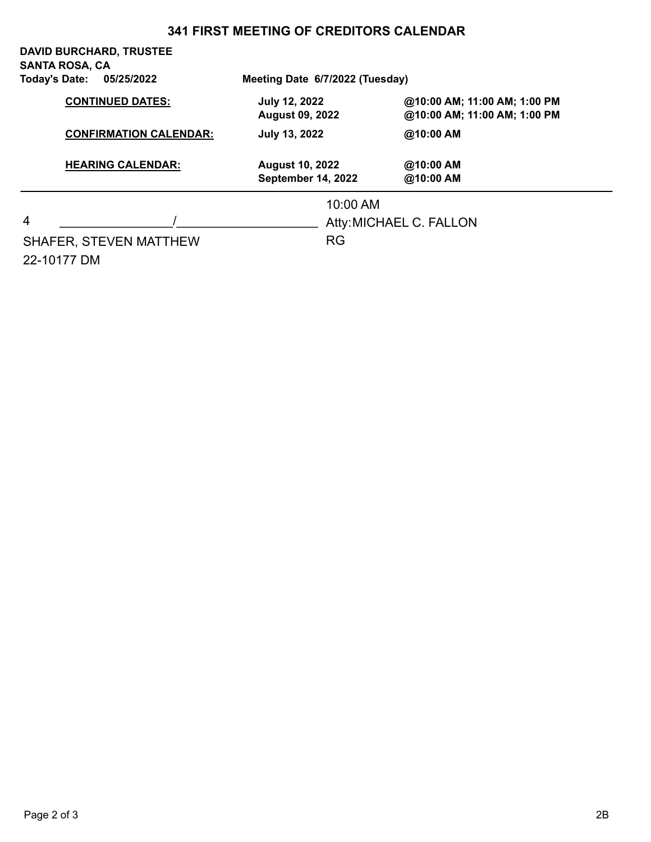## **341 FIRST MEETING OF CREDITORS CALENDAR**

| Today's Date: | <b>DAVID BURCHARD, TRUSTEE</b><br>SANTA ROSA, CA<br>05/25/2022 | Meeting Date 6/7/2022 (Tuesday)                     |                                                              |  |
|---------------|----------------------------------------------------------------|-----------------------------------------------------|--------------------------------------------------------------|--|
|               | <b>CONTINUED DATES:</b>                                        | <b>July 12, 2022</b><br><b>August 09, 2022</b>      | @10:00 AM; 11:00 AM; 1:00 PM<br>@10:00 AM; 11:00 AM; 1:00 PM |  |
|               | <b>CONFIRMATION CALENDAR:</b>                                  | July 13, 2022                                       | @10:00 AM                                                    |  |
|               | <b>HEARING CALENDAR:</b>                                       | <b>August 10, 2022</b><br><b>September 14, 2022</b> | @10:00 AM<br>@10:00 AM                                       |  |
|               |                                                                | 10:00 AM                                            |                                                              |  |
| 4             |                                                                |                                                     | Atty: MICHAEL C. FALLON                                      |  |
|               | <b>SHAFER, STEVEN MATTHEW</b>                                  | <b>RG</b>                                           |                                                              |  |

22-10177 DM